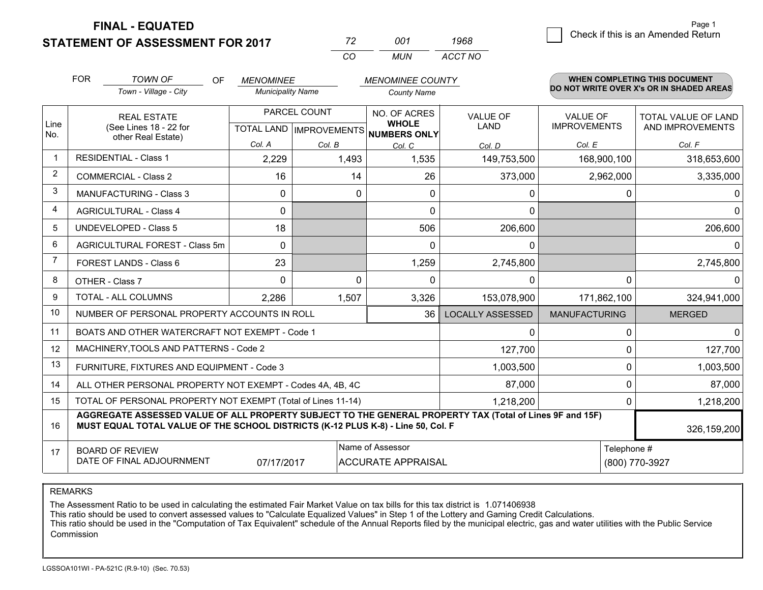**FINAL - EQUATED**

**STATEMENT OF ASSESSMENT FOR 2017** 

| 72  | 001 | 1968    |  |
|-----|-----|---------|--|
| CO. | MUN | ACCT NO |  |

|                | <b>FOR</b>                                                                                                                                                                                   | <b>TOWN OF</b><br>OF                           | <b>MENOMINEE</b>                                     |          | <b>MENOMINEE COUNTY</b>      |                         |                                        | WHEN COMPLETING THIS DOCUMENT            |
|----------------|----------------------------------------------------------------------------------------------------------------------------------------------------------------------------------------------|------------------------------------------------|------------------------------------------------------|----------|------------------------------|-------------------------|----------------------------------------|------------------------------------------|
|                |                                                                                                                                                                                              | Town - Village - City                          | <b>Municipality Name</b>                             |          | <b>County Name</b>           |                         |                                        | DO NOT WRITE OVER X's OR IN SHADED AREAS |
| Line<br>No.    | <b>REAL ESTATE</b><br>(See Lines 18 - 22 for                                                                                                                                                 |                                                | PARCEL COUNT<br>TOTAL LAND IMPROVEMENTS NUMBERS ONLY |          | NO. OF ACRES<br><b>WHOLE</b> | <b>VALUE OF</b><br>LAND | <b>VALUE OF</b><br><b>IMPROVEMENTS</b> | TOTAL VALUE OF LAND<br>AND IMPROVEMENTS  |
|                |                                                                                                                                                                                              | other Real Estate)                             | Col. A                                               | Col. B   | Col. C                       | Col. D                  | Col. E                                 | Col. F                                   |
| $\mathbf 1$    |                                                                                                                                                                                              | <b>RESIDENTIAL - Class 1</b>                   | 2,229                                                | 1,493    | 1,535                        | 149,753,500             | 168,900,100                            | 318,653,600                              |
| 2              |                                                                                                                                                                                              | <b>COMMERCIAL - Class 2</b>                    | 16                                                   | 14       | 26                           | 373,000                 | 2,962,000                              | 3,335,000                                |
| 3              |                                                                                                                                                                                              | <b>MANUFACTURING - Class 3</b>                 | $\Omega$                                             | 0        | $\Omega$                     | 0                       | $\Omega$                               | 0                                        |
| $\overline{4}$ |                                                                                                                                                                                              | <b>AGRICULTURAL - Class 4</b>                  | $\Omega$                                             |          | $\Omega$                     | $\mathbf{0}$            |                                        | 0                                        |
| 5              |                                                                                                                                                                                              | <b>UNDEVELOPED - Class 5</b>                   | 18                                                   |          | 506                          | 206,600                 |                                        | 206,600                                  |
| 6              |                                                                                                                                                                                              | AGRICULTURAL FOREST - Class 5m                 | $\Omega$                                             |          | $\Omega$                     | 0                       |                                        | 0.                                       |
| 7              |                                                                                                                                                                                              | FOREST LANDS - Class 6                         | 23                                                   |          | 1,259                        | 2,745,800               |                                        | 2,745,800                                |
| 8              |                                                                                                                                                                                              | OTHER - Class 7                                | $\Omega$                                             | $\Omega$ | $\Omega$                     | $\Omega$                | $\Omega$                               | 0                                        |
| 9              | TOTAL - ALL COLUMNS                                                                                                                                                                          |                                                | 2,286                                                | 1,507    | 3,326                        | 153,078,900             | 171,862,100                            | 324,941,000                              |
| 10             | NUMBER OF PERSONAL PROPERTY ACCOUNTS IN ROLL                                                                                                                                                 |                                                |                                                      |          | 36                           | <b>LOCALLY ASSESSED</b> | <b>MANUFACTURING</b>                   | <b>MERGED</b>                            |
| 11             |                                                                                                                                                                                              | BOATS AND OTHER WATERCRAFT NOT EXEMPT - Code 1 |                                                      |          |                              | 0                       | 0                                      | $\Omega$                                 |
| 12             |                                                                                                                                                                                              | MACHINERY, TOOLS AND PATTERNS - Code 2         |                                                      |          |                              | 127,700                 | $\Omega$                               | 127,700                                  |
| 13             |                                                                                                                                                                                              | FURNITURE, FIXTURES AND EQUIPMENT - Code 3     |                                                      |          |                              | 1,003,500               | 0                                      | 1,003,500                                |
| 14             | 87,000<br>ALL OTHER PERSONAL PROPERTY NOT EXEMPT - Codes 4A, 4B, 4C                                                                                                                          |                                                |                                                      |          |                              |                         | $\Omega$                               | 87,000                                   |
| 15             | TOTAL OF PERSONAL PROPERTY NOT EXEMPT (Total of Lines 11-14)<br>1,218,200                                                                                                                    |                                                |                                                      |          |                              |                         | 0                                      | 1,218,200                                |
| 16             | AGGREGATE ASSESSED VALUE OF ALL PROPERTY SUBJECT TO THE GENERAL PROPERTY TAX (Total of Lines 9F and 15F)<br>MUST EQUAL TOTAL VALUE OF THE SCHOOL DISTRICTS (K-12 PLUS K-8) - Line 50, Col. F |                                                |                                                      |          |                              |                         | 326,159,200                            |                                          |
| 17             | Name of Assessor<br>Telephone #<br><b>BOARD OF REVIEW</b><br>DATE OF FINAL ADJOURNMENT<br>07/17/2017<br><b>ACCURATE APPRAISAL</b>                                                            |                                                |                                                      |          |                              | (800) 770-3927          |                                        |                                          |

REMARKS

The Assessment Ratio to be used in calculating the estimated Fair Market Value on tax bills for this tax district is 1.071406938

This ratio should be used to convert assessed values to "Calculate Equalized Values" in Step 1 of the Lottery and Gaming Credit Calculations.<br>This ratio should be used in the "Computation of Tax Equivalent" schedule of the Commission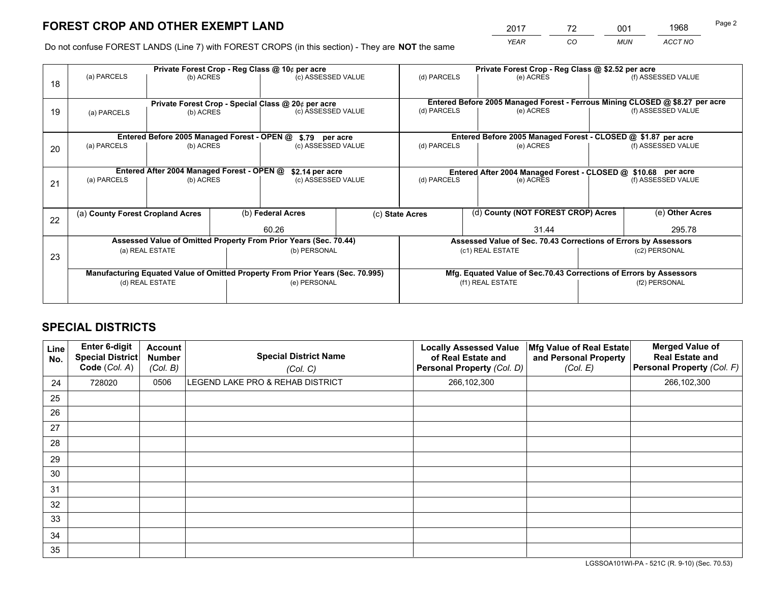# **FOREST CROP AND OTHER EXEMPT LAND**

 *YEAR CO MUN ACCT NO* <sup>2017</sup> <sup>72</sup> <sup>001</sup> <sup>1968</sup>

Do not confuse FOREST LANDS (Line 7) with FOREST CROPS (in this section) - They are **NOT** the same

|    | Private Forest Crop - Reg Class @ 10¢ per acre                                 |                                             |  |                                                    |                          | Private Forest Crop - Reg Class @ \$2.52 per acre                  |                                                               |                    |                                                                              |  |
|----|--------------------------------------------------------------------------------|---------------------------------------------|--|----------------------------------------------------|--------------------------|--------------------------------------------------------------------|---------------------------------------------------------------|--------------------|------------------------------------------------------------------------------|--|
| 18 | (a) PARCELS                                                                    | (b) ACRES                                   |  | (c) ASSESSED VALUE                                 |                          | (d) PARCELS                                                        | (e) ACRES                                                     |                    | (f) ASSESSED VALUE                                                           |  |
|    |                                                                                |                                             |  | Private Forest Crop - Special Class @ 20¢ per acre |                          |                                                                    |                                                               |                    | Entered Before 2005 Managed Forest - Ferrous Mining CLOSED @ \$8.27 per acre |  |
| 19 | (a) PARCELS                                                                    | (b) ACRES                                   |  | (c) ASSESSED VALUE                                 |                          | (d) PARCELS                                                        | (e) ACRES                                                     |                    | (f) ASSESSED VALUE                                                           |  |
|    |                                                                                | Entered Before 2005 Managed Forest - OPEN @ |  | \$.79 per acre                                     |                          |                                                                    | Entered Before 2005 Managed Forest - CLOSED @ \$1.87 per acre |                    |                                                                              |  |
|    | (a) PARCELS                                                                    | (b) ACRES                                   |  | (c) ASSESSED VALUE                                 |                          | (d) PARCELS<br>(e) ACRES                                           |                                                               |                    | (f) ASSESSED VALUE                                                           |  |
| 20 |                                                                                |                                             |  |                                                    |                          |                                                                    |                                                               |                    |                                                                              |  |
|    | Entered After 2004 Managed Forest - OPEN @<br>\$2.14 per acre                  |                                             |  |                                                    |                          | Entered After 2004 Managed Forest - CLOSED @ \$10.68 per acre      |                                                               |                    |                                                                              |  |
| 21 | (a) PARCELS                                                                    | (b) ACRES<br>(c) ASSESSED VALUE             |  |                                                    | (d) PARCELS<br>(e) ACRES |                                                                    |                                                               | (f) ASSESSED VALUE |                                                                              |  |
|    |                                                                                |                                             |  |                                                    |                          |                                                                    |                                                               |                    |                                                                              |  |
| 22 | (a) County Forest Cropland Acres                                               |                                             |  | (b) Federal Acres                                  |                          | (d) County (NOT FOREST CROP) Acres<br>(c) State Acres              |                                                               |                    | (e) Other Acres                                                              |  |
|    |                                                                                |                                             |  | 60.26                                              |                          |                                                                    | 31.44                                                         |                    |                                                                              |  |
|    | Assessed Value of Omitted Property From Prior Years (Sec. 70.44)               |                                             |  |                                                    |                          | Assessed Value of Sec. 70.43 Corrections of Errors by Assessors    |                                                               |                    |                                                                              |  |
| 23 | (a) REAL ESTATE                                                                |                                             |  | (b) PERSONAL                                       |                          | (c1) REAL ESTATE                                                   |                                                               |                    | (c2) PERSONAL                                                                |  |
|    |                                                                                |                                             |  |                                                    |                          |                                                                    |                                                               |                    |                                                                              |  |
|    | Manufacturing Equated Value of Omitted Property From Prior Years (Sec. 70.995) |                                             |  |                                                    |                          | Mfg. Equated Value of Sec.70.43 Corrections of Errors by Assessors |                                                               |                    |                                                                              |  |
|    | (d) REAL ESTATE                                                                |                                             |  | (e) PERSONAL                                       |                          | (f1) REAL ESTATE                                                   |                                                               |                    | (f2) PERSONAL                                                                |  |
|    |                                                                                |                                             |  |                                                    |                          |                                                                    |                                                               |                    |                                                                              |  |

## **SPECIAL DISTRICTS**

| Line<br>No. | Enter 6-digit<br><b>Special District</b><br>Code (Col. A) | <b>Account</b><br><b>Number</b><br>(Col. B) | <b>Special District Name</b><br>(Col. C) | <b>Locally Assessed Value</b><br>of Real Estate and<br>Personal Property (Col. D) | Mfg Value of Real Estate<br>and Personal Property<br>(Col. E) | <b>Merged Value of</b><br><b>Real Estate and</b><br>Personal Property (Col. F) |
|-------------|-----------------------------------------------------------|---------------------------------------------|------------------------------------------|-----------------------------------------------------------------------------------|---------------------------------------------------------------|--------------------------------------------------------------------------------|
| 24          | 728020                                                    | 0506                                        | LEGEND LAKE PRO & REHAB DISTRICT         | 266,102,300                                                                       |                                                               | 266,102,300                                                                    |
| 25          |                                                           |                                             |                                          |                                                                                   |                                                               |                                                                                |
| 26          |                                                           |                                             |                                          |                                                                                   |                                                               |                                                                                |
| 27          |                                                           |                                             |                                          |                                                                                   |                                                               |                                                                                |
| 28          |                                                           |                                             |                                          |                                                                                   |                                                               |                                                                                |
| 29          |                                                           |                                             |                                          |                                                                                   |                                                               |                                                                                |
| 30          |                                                           |                                             |                                          |                                                                                   |                                                               |                                                                                |
| 31          |                                                           |                                             |                                          |                                                                                   |                                                               |                                                                                |
| 32          |                                                           |                                             |                                          |                                                                                   |                                                               |                                                                                |
| 33          |                                                           |                                             |                                          |                                                                                   |                                                               |                                                                                |
| 34          |                                                           |                                             |                                          |                                                                                   |                                                               |                                                                                |
| 35          |                                                           |                                             |                                          |                                                                                   |                                                               |                                                                                |

LGSSOA101WI-PA - 521C (R. 9-10) (Sec. 70.53)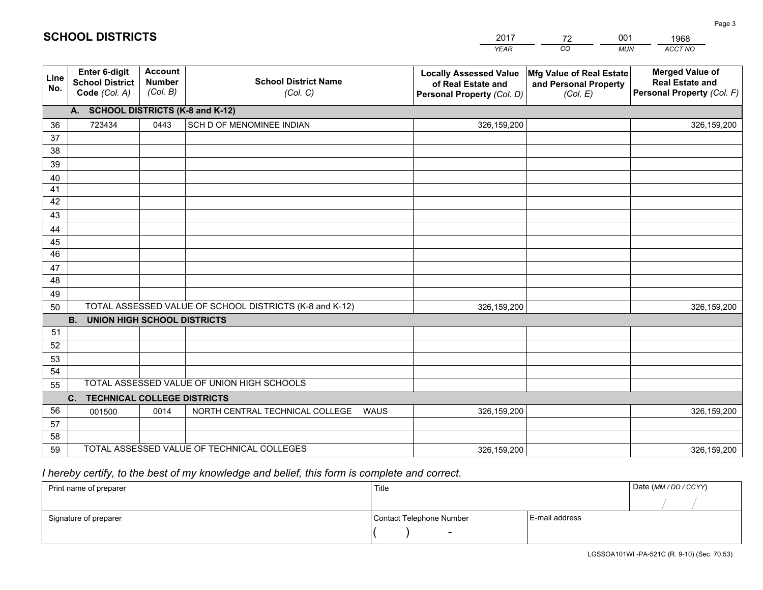|                       |                                                          |                                             |                                                         | <b>YEAR</b>                                                                       | CO<br><b>MUN</b>                                              | ACCT NO                                                                        |
|-----------------------|----------------------------------------------------------|---------------------------------------------|---------------------------------------------------------|-----------------------------------------------------------------------------------|---------------------------------------------------------------|--------------------------------------------------------------------------------|
| Line<br>No.           | Enter 6-digit<br><b>School District</b><br>Code (Col. A) | <b>Account</b><br><b>Number</b><br>(Col. B) | <b>School District Name</b><br>(Col. C)                 | <b>Locally Assessed Value</b><br>of Real Estate and<br>Personal Property (Col. D) | Mfg Value of Real Estate<br>and Personal Property<br>(Col. E) | <b>Merged Value of</b><br><b>Real Estate and</b><br>Personal Property (Col. F) |
|                       | A. SCHOOL DISTRICTS (K-8 and K-12)                       |                                             |                                                         |                                                                                   |                                                               |                                                                                |
| 36                    | 723434                                                   | 0443                                        | SCH D OF MENOMINEE INDIAN                               | 326,159,200                                                                       |                                                               | 326,159,200                                                                    |
| 37                    |                                                          |                                             |                                                         |                                                                                   |                                                               |                                                                                |
| 38                    |                                                          |                                             |                                                         |                                                                                   |                                                               |                                                                                |
| 39                    |                                                          |                                             |                                                         |                                                                                   |                                                               |                                                                                |
| 40                    |                                                          |                                             |                                                         |                                                                                   |                                                               |                                                                                |
| 41                    |                                                          |                                             |                                                         |                                                                                   |                                                               |                                                                                |
| 42                    |                                                          |                                             |                                                         |                                                                                   |                                                               |                                                                                |
| 43                    |                                                          |                                             |                                                         |                                                                                   |                                                               |                                                                                |
| 44                    |                                                          |                                             |                                                         |                                                                                   |                                                               |                                                                                |
| 45<br>$\overline{46}$ |                                                          |                                             |                                                         |                                                                                   |                                                               |                                                                                |
|                       |                                                          |                                             |                                                         |                                                                                   |                                                               |                                                                                |
| 47<br>48              |                                                          |                                             |                                                         |                                                                                   |                                                               |                                                                                |
| 49                    |                                                          |                                             |                                                         |                                                                                   |                                                               |                                                                                |
| 50                    |                                                          |                                             | TOTAL ASSESSED VALUE OF SCHOOL DISTRICTS (K-8 and K-12) | 326,159,200                                                                       |                                                               | 326,159,200                                                                    |
|                       | <b>B.</b><br><b>UNION HIGH SCHOOL DISTRICTS</b>          |                                             |                                                         |                                                                                   |                                                               |                                                                                |
| 51                    |                                                          |                                             |                                                         |                                                                                   |                                                               |                                                                                |
| 52                    |                                                          |                                             |                                                         |                                                                                   |                                                               |                                                                                |
| 53                    |                                                          |                                             |                                                         |                                                                                   |                                                               |                                                                                |
| 54                    |                                                          |                                             |                                                         |                                                                                   |                                                               |                                                                                |
| 55                    |                                                          |                                             | TOTAL ASSESSED VALUE OF UNION HIGH SCHOOLS              |                                                                                   |                                                               |                                                                                |
|                       | C. TECHNICAL COLLEGE DISTRICTS                           |                                             |                                                         |                                                                                   |                                                               |                                                                                |
| 56                    | 001500                                                   | 0014                                        | NORTH CENTRAL TECHNICAL COLLEGE<br><b>WAUS</b>          | 326,159,200                                                                       |                                                               | 326,159,200                                                                    |
| 57                    |                                                          |                                             |                                                         |                                                                                   |                                                               |                                                                                |
| 58                    |                                                          |                                             |                                                         |                                                                                   |                                                               |                                                                                |
| 59                    |                                                          |                                             | TOTAL ASSESSED VALUE OF TECHNICAL COLLEGES              | 326,159,200                                                                       |                                                               | 326,159,200                                                                    |

2017

72

001

## *I hereby certify, to the best of my knowledge and belief, this form is complete and correct.*

**SCHOOL DISTRICTS**

| Print name of preparer | Title                    |                | Date (MM / DD / CCYY) |
|------------------------|--------------------------|----------------|-----------------------|
|                        |                          |                |                       |
| Signature of preparer  | Contact Telephone Number | E-mail address |                       |
|                        | $\overline{\phantom{0}}$ |                |                       |

1968